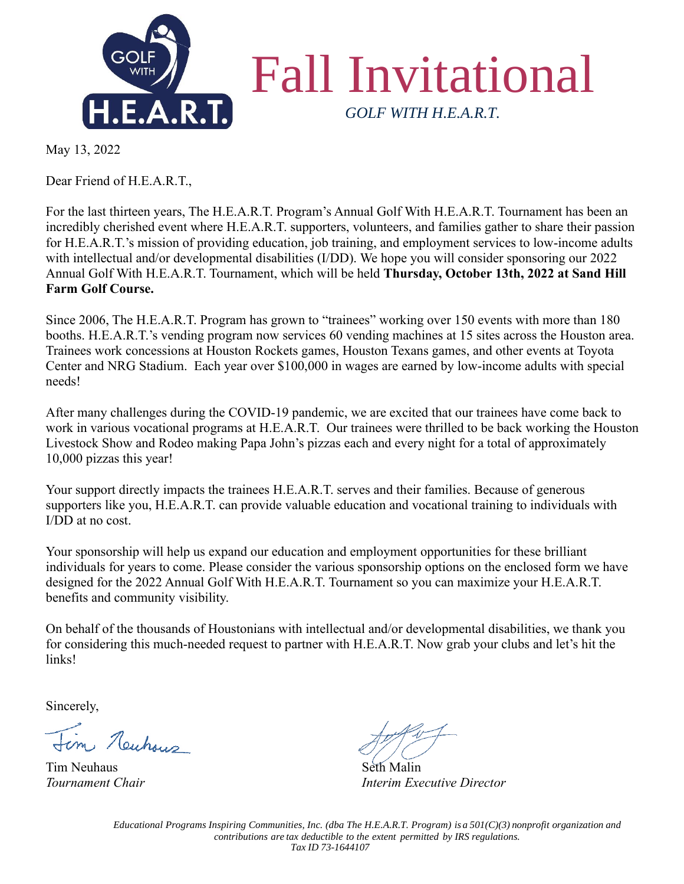

May 13, 2022

Dear Friend of H.E.A.R.T.,

For the last thirteen years, The H.E.A.R.T. Program's Annual Golf With H.E.A.R.T. Tournament has been an incredibly cherished event where H.E.A.R.T. supporters, volunteers, and families gather to share their passion for H.E.A.R.T.'s mission of providing education, job training, and employment services to low-income adults with intellectual and/or developmental disabilities (I/DD). We hope you will consider sponsoring our 2022 Annual Golf With H.E.A.R.T. Tournament, which will be held **Thursday, October 13th, 2022 at Sand Hill Farm Golf Course.** 

Since 2006, The H.E.A.R.T. Program has grown to "trainees" working over 150 events with more than 180 booths. H.E.A.R.T.'s vending program now services 60 vending machines at 15 sites across the Houston area. Trainees work concessions at Houston Rockets games, Houston Texans games, and other events at Toyota Center and NRG Stadium. Each year over \$100,000 in wages are earned by low-income adults with special needs!

After many challenges during the COVID-19 pandemic, we are excited that our trainees have come back to work in various vocational programs at H.E.A.R.T. Our trainees were thrilled to be back working the Houston Livestock Show and Rodeo making Papa John's pizzas each and every night for a total of approximately 10,000 pizzas this year!

Your support directly impacts the trainees H.E.A.R.T. serves and their families. Because of generous supporters like you, H.E.A.R.T. can provide valuable education and vocational training to individuals with I/DD at no cost.

Your sponsorship will help us expand our education and employment opportunities for these brilliant individuals for years to come. Please consider the various sponsorship options on the enclosed form we have designed for the 2022 Annual Golf With H.E.A.R.T. Tournament so you can maximize your H.E.A.R.T. benefits and community visibility.

On behalf of the thousands of Houstonians with intellectual and/or developmental disabilities, we thank you for considering this much-needed request to partner with H.E.A.R.T. Now grab your clubs and let's hit the links!

Sincerely,

m Newhous

Tim Neuhaus **Seth Malin** 

*Tournament Chair Interim Executive Director*

*Educational Programs Inspiring Communities, Inc. (dba The H.E.A.R.T. Program) is a 501(C)(3) nonprofit organization and contributions are tax deductible to the extent permitted by IRS regulations. Tax ID 73-1644107*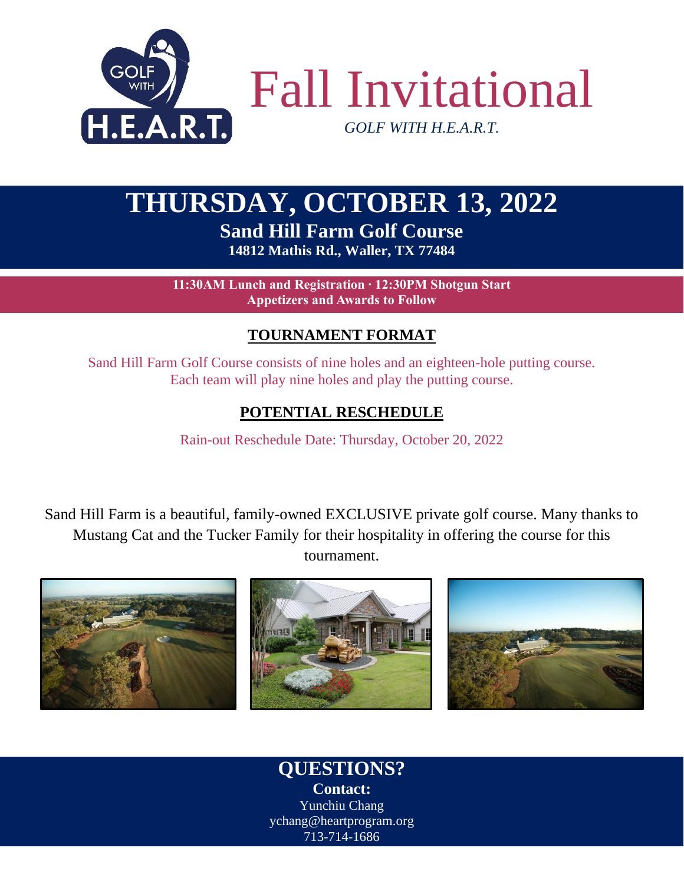

# **THURSDAY, OCTOBER 13, 2022 Sand Hill Farm Golf Course**

**14812 Mathis Rd., Waller, TX 77484**

**11:30AM Lunch and Registration ∙ 12:30PM Shotgun Start Appetizers and Awards to Follow**

### **TOURNAMENT FORMAT**

Sand Hill Farm Golf Course consists of nine holes and an eighteen-hole putting course. Each team will play nine holes and play the putting course.

### **POTENTIAL RESCHEDULE**

Rain-out Reschedule Date: Thursday, October 20, 2022

Sand Hill Farm is a beautiful, family-owned EXCLUSIVE private golf course. Many thanks to Mustang Cat and the Tucker Family for their hospitality in offering the course for this tournament.



**QUESTIONS? Contact:** Yunchiu Chang ychang@heartprogram.org 713-714-1686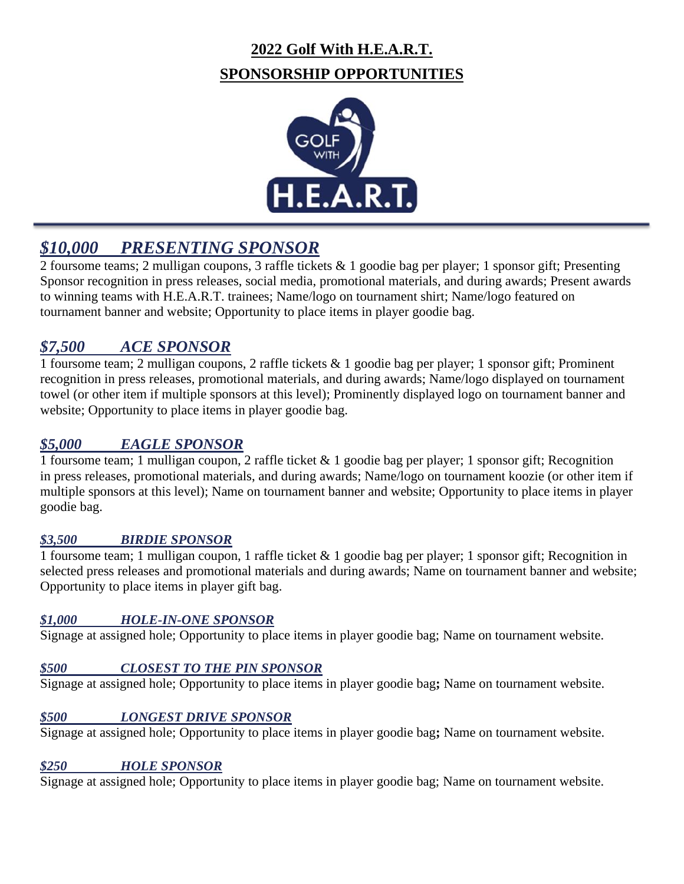# **2022 Golf With H.E.A.R.T. SPONSORSHIP OPPORTUNITIES**



# *\$10,000 PRESENTING SPONSOR*

2 foursome teams; 2 mulligan coupons, 3 raffle tickets & 1 goodie bag per player; 1 sponsor gift; Presenting Sponsor recognition in press releases, social media, promotional materials, and during awards; Present awards to winning teams with H.E.A.R.T. trainees; Name/logo on tournament shirt; Name/logo featured on tournament banner and website; Opportunity to place items in player goodie bag.

## *\$7,500 ACE SPONSOR*

1 foursome team; 2 mulligan coupons, 2 raffle tickets & 1 goodie bag per player; 1 sponsor gift; Prominent recognition in press releases, promotional materials, and during awards; Name/logo displayed on tournament towel (or other item if multiple sponsors at this level); Prominently displayed logo on tournament banner and website; Opportunity to place items in player goodie bag.

#### *\$5,000 EAGLE SPONSOR*

1 foursome team; 1 mulligan coupon, 2 raffle ticket & 1 goodie bag per player; 1 sponsor gift; Recognition in press releases, promotional materials, and during awards; Name/logo on tournament koozie (or other item if multiple sponsors at this level); Name on tournament banner and website; Opportunity to place items in player goodie bag.

#### *\$3,500 BIRDIE SPONSOR*

1 foursome team; 1 mulligan coupon, 1 raffle ticket & 1 goodie bag per player; 1 sponsor gift; Recognition in selected press releases and promotional materials and during awards; Name on tournament banner and website; Opportunity to place items in player gift bag.

#### *\$1,000 HOLE-IN-ONE SPONSOR*

Signage at assigned hole; Opportunity to place items in player goodie bag; Name on tournament website.

#### *\$500 CLOSEST TO THE PIN SPONSOR*

Signage at assigned hole; Opportunity to place items in player goodie bag**;** Name on tournament website.

#### *\$500 LONGEST DRIVE SPONSOR*

Signage at assigned hole; Opportunity to place items in player goodie bag**;** Name on tournament website.

#### *\$250 HOLE SPONSOR*

Signage at assigned hole; Opportunity to place items in player goodie bag; Name on tournament website.